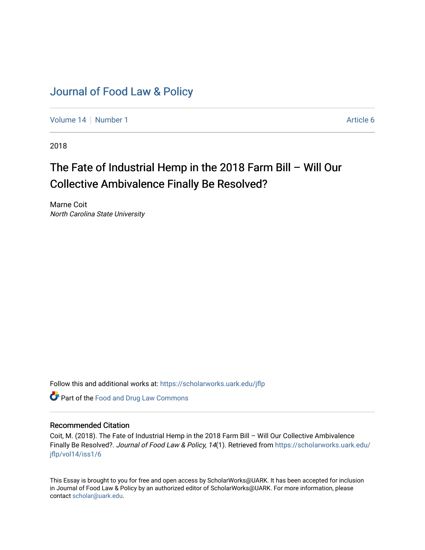# [Journal of Food Law & Policy](https://scholarworks.uark.edu/jflp)

[Volume 14](https://scholarworks.uark.edu/jflp/vol14) | [Number 1](https://scholarworks.uark.edu/jflp/vol14/iss1) Article 6

2018

# The Fate of Industrial Hemp in the 2018 Farm Bill – Will Our Collective Ambivalence Finally Be Resolved?

Marne Coit North Carolina State University

Follow this and additional works at: [https://scholarworks.uark.edu/jflp](https://scholarworks.uark.edu/jflp?utm_source=scholarworks.uark.edu%2Fjflp%2Fvol14%2Fiss1%2F6&utm_medium=PDF&utm_campaign=PDFCoverPages) 

**Part of the Food and Drug Law Commons** 

# Recommended Citation

Coit, M. (2018). The Fate of Industrial Hemp in the 2018 Farm Bill – Will Our Collective Ambivalence Finally Be Resolved?. Journal of Food Law & Policy, 14(1). Retrieved from [https://scholarworks.uark.edu/](https://scholarworks.uark.edu/jflp/vol14/iss1/6?utm_source=scholarworks.uark.edu%2Fjflp%2Fvol14%2Fiss1%2F6&utm_medium=PDF&utm_campaign=PDFCoverPages) [jflp/vol14/iss1/6](https://scholarworks.uark.edu/jflp/vol14/iss1/6?utm_source=scholarworks.uark.edu%2Fjflp%2Fvol14%2Fiss1%2F6&utm_medium=PDF&utm_campaign=PDFCoverPages)

This Essay is brought to you for free and open access by ScholarWorks@UARK. It has been accepted for inclusion in Journal of Food Law & Policy by an authorized editor of ScholarWorks@UARK. For more information, please contact [scholar@uark.edu.](mailto:scholar@uark.edu)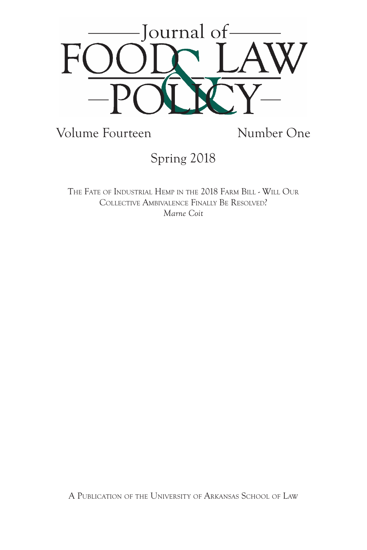

Volume Fourteen Number One

Spring 2018

The Fate of Industrial Hemp in the 2018 Farm Bill - Will Our Collective Ambivalence Finally Be Resolved? *Marne Coit*

A Publication of the University of Arkansas School of Law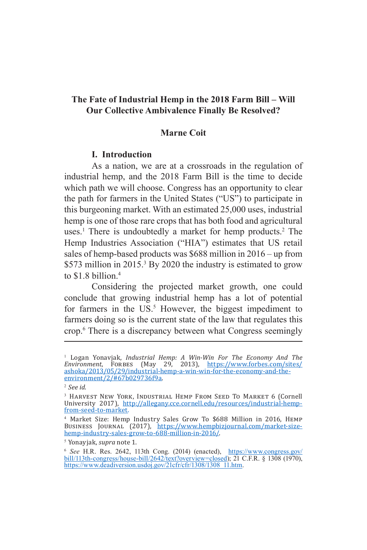# **The Fate of Industrial Hemp in the 2018 Farm Bill – Will Our Collective Ambivalence Finally Be Resolved?**

## **Marne Coit**

#### **I. Introduction**

As a nation, we are at a crossroads in the regulation of industrial hemp, and the 2018 Farm Bill is the time to decide which path we will choose. Congress has an opportunity to clear the path for farmers in the United States ("US") to participate in this burgeoning market. With an estimated 25,000 uses, industrial hemp is one of those rare crops that has both food and agricultural uses.<sup>1</sup> There is undoubtedly a market for hemp products.<sup>2</sup> The Hemp Industries Association ("HIA") estimates that US retail sales of hemp-based products was \$688 million in 2016 – up from \$573 million in 2015.<sup>3</sup> By 2020 the industry is estimated to grow to \$1.8 billion.<sup>4</sup>

Considering the projected market growth, one could conclude that growing industrial hemp has a lot of potential for farmers in the US.<sup>5</sup> However, the biggest impediment to farmers doing so is the current state of the law that regulates this crop.6 There is a discrepancy between what Congress seemingly

<sup>1</sup> Logan Yonavjak, *Industrial Hemp: A Win-Win For The Economy And The Environment*, Forbes (May 29, 2013), https://www.forbes.com/sites/ ashoka/2013/05/29/industrial-hemp-a-win-win-for-the-economy-and-theenvironment/2/#67b029736f9a.

<sup>2</sup> *See id*.

<sup>&</sup>lt;sup>3</sup> Harvest New York, Industrial Hemp From Seed To Market 6 (Cornell University 2017), http://allegany.cce.cornell.edu/resources/industrial-hempfrom-seed-to-market.

<sup>4</sup> Market Size: Hemp Industry Sales Grow To \$688 Million in 2016, Hemp Business Journal (2017), https://www.hempbizjournal.com/market-sizehemp-industry-sales-grow-to-688-million-in-2016/.

<sup>5</sup> Yonayjak, *supra* note 1.

<sup>&</sup>lt;sup>6</sup> *See* H.R. Res. 2642, 113th Cong. (2014) (enacted), https://www.congress.gov/ bill/113th-congress/house-bill/2642/text?overview=closed); 21 C.F.R. § 1308 (1970), https://www.deadiversion.usdoj.gov/21cfr/cfr/1308/1308\_11.htm.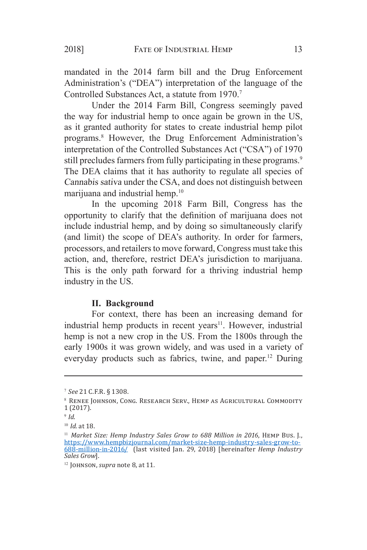mandated in the 2014 farm bill and the Drug Enforcement Administration's ("DEA") interpretation of the language of the Controlled Substances Act, a statute from 1970.7

Under the 2014 Farm Bill, Congress seemingly paved the way for industrial hemp to once again be grown in the US, as it granted authority for states to create industrial hemp pilot programs.8 However, the Drug Enforcement Administration's interpretation of the Controlled Substances Act ("CSA") of 1970 still precludes farmers from fully participating in these programs.<sup>9</sup> The DEA claims that it has authority to regulate all species of Cannabis sativa under the CSA, and does not distinguish between marijuana and industrial hemp.<sup>10</sup>

In the upcoming 2018 Farm Bill, Congress has the opportunity to clarify that the definition of marijuana does not include industrial hemp, and by doing so simultaneously clarify (and limit) the scope of DEA's authority. In order for farmers, processors, and retailers to move forward, Congress must take this action, and, therefore, restrict DEA's jurisdiction to marijuana. This is the only path forward for a thriving industrial hemp industry in the US.

#### **II. Background**

For context, there has been an increasing demand for industrial hemp products in recent years<sup>11</sup>. However, industrial hemp is not a new crop in the US. From the 1800s through the early 1900s it was grown widely, and was used in a variety of everyday products such as fabrics, twine, and paper.<sup>12</sup> During

<sup>7</sup> *See* 21 C.F.R. § 1308.

<sup>8</sup>   Renee Johnson, Cong. Research Serv., Hemp as Agricultural Commodity 1 (2017).

<sup>9</sup> *Id*.

<sup>10</sup> *Id*. at 18.

<sup>&</sup>lt;sup>11</sup> Market Size: Hemp Industry Sales Grow to 688 Million in 2016, HEMP Bus. J., https://www.hempbizjournal.com/market-size-hemp-industry-sales-grow-to-688-million-in-2016/ (last visited Jan. 29, 2018) [hereinafter *Hemp Industry Sales Grow*].

<sup>12</sup> Johnson, *supra* note 8, at 11*.*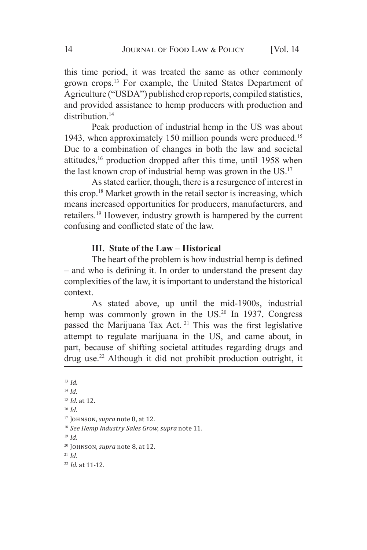this time period, it was treated the same as other commonly grown crops.13 For example, the United States Department of Agriculture ("USDA") published crop reports, compiled statistics, and provided assistance to hemp producers with production and distribution.<sup>14</sup>

Peak production of industrial hemp in the US was about 1943, when approximately 150 million pounds were produced.<sup>15</sup> Due to a combination of changes in both the law and societal attitudes,<sup>16</sup> production dropped after this time, until 1958 when the last known crop of industrial hemp was grown in the US.<sup>17</sup>

As stated earlier, though, there is a resurgence of interest in this crop.18 Market growth in the retail sector is increasing, which means increased opportunities for producers, manufacturers, and retailers.19 However, industry growth is hampered by the current confusing and conflicted state of the law.

#### **III. State of the Law – Historical**

The heart of the problem is how industrial hemp is defined – and who is defining it. In order to understand the present day complexities of the law, it is important to understand the historical context.

As stated above, up until the mid-1900s, industrial hemp was commonly grown in the US.<sup>20</sup> In 1937, Congress passed the Marijuana Tax Act. <sup>21</sup> This was the first legislative attempt to regulate marijuana in the US, and came about, in part, because of shifting societal attitudes regarding drugs and drug use.22 Although it did not prohibit production outright, it

<sup>16</sup> *Id.*

<sup>19</sup> *Id.*

<sup>21</sup> *Id*.

<sup>13</sup> *Id.*

<sup>14</sup> *Id.*

<sup>15</sup> *Id.* at 12.

<sup>17</sup> Johnson, *supra* note 8, at 12*.*

<sup>18</sup> *See Hemp Industry Sales Grow, supra* note 11.

<sup>20</sup> Johnson, *supra* note 8, at 12*.*

<sup>22</sup> *Id.* at 11-12.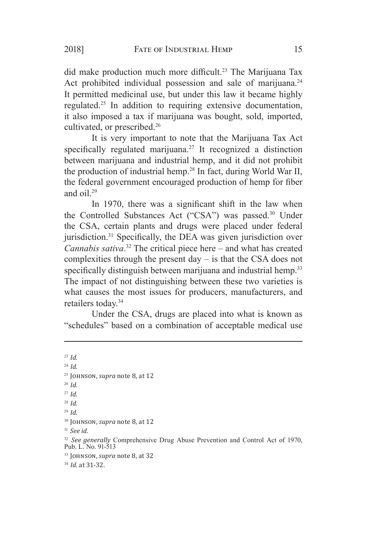did make production much more difficult.<sup>23</sup> The Marijuana Tax Act prohibited individual possession and sale of marijuana.<sup>24</sup> It permitted medicinal use, but under this law it became highly regulated.<sup>25</sup> In addition to requiring extensive documentation, it also imposed a tax if marijuana was bought, sold, imported, cultivated, or prescribed.26

It is very important to note that the Marijuana Tax Act specifically regulated marijuana.<sup>27</sup> It recognized a distinction between marijuana and industrial hemp, and it did not prohibit the production of industrial hemp.28 In fact, during World War II, the federal government encouraged production of hemp for fiber and  $\alpha$ il<sup>29</sup>

In 1970, there was a significant shift in the law when the Controlled Substances Act ("CSA") was passed.<sup>30</sup> Under the CSA, certain plants and drugs were placed under federal jurisdiction.31 Specifically, the DEA was given jurisdiction over *Cannabis sativa*. <sup>32</sup> The critical piece here – and what has created complexities through the present day – is that the CSA does not specifically distinguish between marijuana and industrial hemp.<sup>33</sup> The impact of not distinguishing between these two varieties is what causes the most issues for producers, manufacturers, and retailers today.34

Under the CSA, drugs are placed into what is known as "schedules" based on a combination of acceptable medical use

<sup>23</sup> *Id.* <sup>24</sup> *Id.* <sup>25</sup> Johnson, *supra* note 8, at 12 <sup>26</sup> *Id.* <sup>27</sup> *Id.* <sup>28</sup> *Id.* <sup>29</sup> *Id.* <sup>30</sup> Johnson, *supra* note 8, at 12 <sup>31</sup> *See id.* <sup>32</sup> *See generally* Comprehensive Drug Abuse Prevention and Control Act of 1970, Pub. L. No. 91-513 <sup>33</sup> Johnson, *supra* note 8, at 32 <sup>34</sup> *Id.* at 31-32.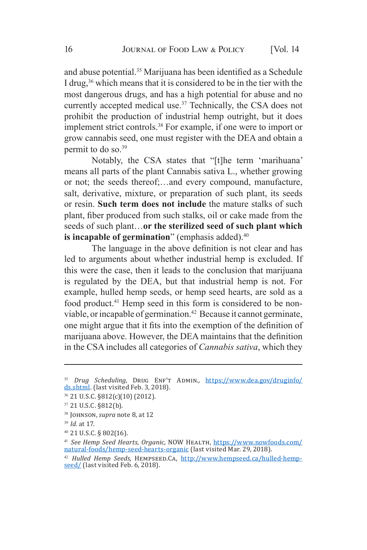and abuse potential.35 Marijuana has been identified as a Schedule I drug,<sup>36</sup> which means that it is considered to be in the tier with the most dangerous drugs, and has a high potential for abuse and no currently accepted medical use.<sup>37</sup> Technically, the CSA does not prohibit the production of industrial hemp outright, but it does implement strict controls.38 For example, if one were to import or grow cannabis seed, one must register with the DEA and obtain a permit to do so.<sup>39</sup>

Notably, the CSA states that "[t]he term 'marihuana' means all parts of the plant Cannabis sativa L., whether growing or not; the seeds thereof;…and every compound, manufacture, salt, derivative, mixture, or preparation of such plant, its seeds or resin. **Such term does not include** the mature stalks of such plant, fiber produced from such stalks, oil or cake made from the seeds of such plant…**or the sterilized seed of such plant which is incapable of germination**" (emphasis added).<sup>40</sup>

The language in the above definition is not clear and has led to arguments about whether industrial hemp is excluded. If this were the case, then it leads to the conclusion that marijuana is regulated by the DEA, but that industrial hemp is not. For example, hulled hemp seeds, or hemp seed hearts, are sold as a food product.<sup>41</sup> Hemp seed in this form is considered to be nonviable, or incapable of germination.42 Because it cannot germinate, one might argue that it fits into the exemption of the definition of marijuana above. However, the DEA maintains that the definition in the CSA includes all categories of *Cannabis sativa*, which they

<sup>&</sup>lt;sup>35</sup> *Drug Scheduling*, DRUG ENF'T ADMIN., https://www.dea.gov/druginfo/ ds.shtml. (last visited Feb. 3, 2018).

<sup>36</sup> 21 U.S.C. §812(c)(10) (2012).

<sup>37</sup> 21 U.S.C. §812(b).

<sup>38</sup> Johnson, *supra* note 8, at 12

<sup>39</sup> *Id.* at 17.

<sup>40</sup> 21 U.S.C. § 802(16).

<sup>41</sup> *See Hemp Seed Hearts, Organic,* NOW Health, https://www.nowfoods.com/ natural-foods/hemp-seed-hearts-organic (last visited Mar. 29, 2018).

<sup>42</sup> *Hulled Hemp Seeds*, Hempseed.Ca, http://www.hempseed.ca/hulled-hempseed/ (last visited Feb. 6, 2018).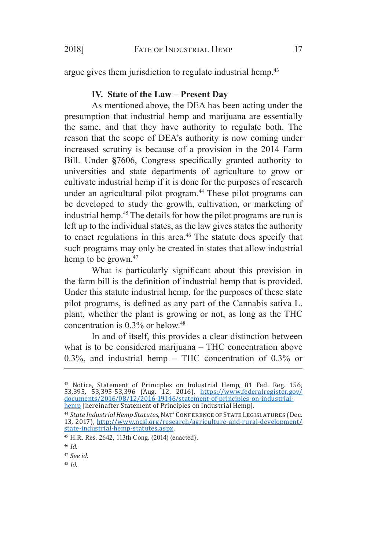argue gives them jurisdiction to regulate industrial hemp.<sup>43</sup>

# **IV. State of the Law – Present Day**

As mentioned above, the DEA has been acting under the presumption that industrial hemp and marijuana are essentially the same, and that they have authority to regulate both. The reason that the scope of DEA's authority is now coming under increased scrutiny is because of a provision in the 2014 Farm Bill. Under **§**7606, Congress specifically granted authority to universities and state departments of agriculture to grow or cultivate industrial hemp if it is done for the purposes of research under an agricultural pilot program.<sup>44</sup> These pilot programs can be developed to study the growth, cultivation, or marketing of industrial hemp.45 The details for how the pilot programs are run is left up to the individual states, as the law gives states the authority to enact regulations in this area.<sup>46</sup> The statute does specify that such programs may only be created in states that allow industrial hemp to be grown.<sup>47</sup>

What is particularly significant about this provision in the farm bill is the definition of industrial hemp that is provided. Under this statute industrial hemp, for the purposes of these state pilot programs, is defined as any part of the Cannabis sativa L. plant, whether the plant is growing or not, as long as the THC concentration is 0.3% or below.48

In and of itself, this provides a clear distinction between what is to be considered marijuana – THC concentration above 0.3%, and industrial hemp – THC concentration of 0.3% or

<sup>&</sup>lt;sup>43</sup> Notice, Statement of Principles on Industrial Hemp, 81 Fed. Reg. 156, 53,395, 53,395-53,396 (Aug. 12, 2016), https://www.federalregister.gov/ documents/2016/08/12/2016-19146/statement-of-principles-on-industrialhemp [hereinafter Statement of Principles on Industrial Hemp].

<sup>&</sup>lt;sup>44</sup> State Industrial Hemp Statutes, NAT' CONFERENCE OF STATE LEGISLATURES (Dec. 13, 2017), http://www.ncsl.org/research/agriculture-and-rural-development/ state-industrial-hemp-statutes.aspx.

<sup>45</sup> H.R. Res. 2642, 113th Cong. (2014) (enacted).

<sup>46</sup> *Id.*

<sup>47</sup> *See id.*

<sup>48</sup> *Id.*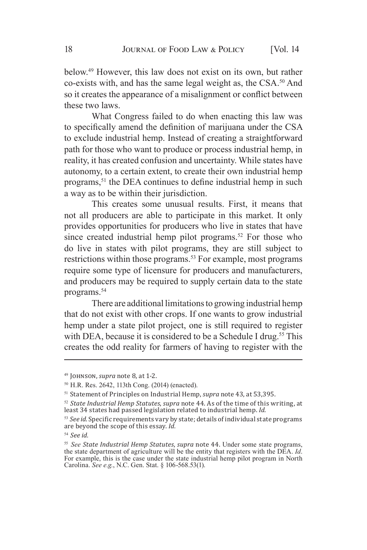below.49 However, this law does not exist on its own, but rather co-exists with, and has the same legal weight as, the CSA.<sup>50</sup> And so it creates the appearance of a misalignment or conflict between these two laws.

What Congress failed to do when enacting this law was to specifically amend the definition of marijuana under the CSA to exclude industrial hemp. Instead of creating a straightforward path for those who want to produce or process industrial hemp, in reality, it has created confusion and uncertainty. While states have autonomy, to a certain extent, to create their own industrial hemp programs,<sup>51</sup> the DEA continues to define industrial hemp in such a way as to be within their jurisdiction.

This creates some unusual results. First, it means that not all producers are able to participate in this market. It only provides opportunities for producers who live in states that have since created industrial hemp pilot programs.<sup>52</sup> For those who do live in states with pilot programs, they are still subject to restrictions within those programs.<sup>53</sup> For example, most programs require some type of licensure for producers and manufacturers, and producers may be required to supply certain data to the state programs.<sup>54</sup>

There are additional limitations to growing industrial hemp that do not exist with other crops. If one wants to grow industrial hemp under a state pilot project, one is still required to register with DEA, because it is considered to be a Schedule I drug.<sup>55</sup> This creates the odd reality for farmers of having to register with the

<sup>49</sup> Johnson, *supra* note 8, at 1-2.

<sup>50</sup> H.R. Res. 2642, 113th Cong. (2014) (enacted).

<sup>51</sup> Statement of Principles on Industrial Hemp, *supra* note 43, at 53,395.

<sup>52</sup> *State Industrial Hemp Statutes*, *supra* note 44. As of the time of this writing, at least 34 states had passed legislation related to industrial hemp. *Id*.

<sup>53</sup> *See id*. Specific requirements vary by state; details of individual state programs are beyond the scope of this essay. *Id.*

<sup>54</sup> *See id.*

<sup>55</sup> *See State Industrial Hemp Statutes*, *supra* note 44. Under some state programs, the state department of agriculture will be the entity that registers with the DEA. *Id*. For example, this is the case under the state industrial hemp pilot program in North Carolina. *See e.g.*, N.C. Gen. Stat. § 106-568.53(1).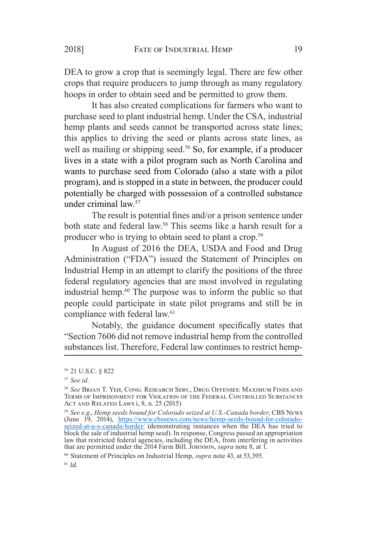DEA to grow a crop that is seemingly legal. There are few other crops that require producers to jump through as many regulatory hoops in order to obtain seed and be permitted to grow them.

It has also created complications for farmers who want to purchase seed to plant industrial hemp. Under the CSA, industrial hemp plants and seeds cannot be transported across state lines; this applies to driving the seed or plants across state lines, as well as mailing or shipping seed.<sup>56</sup> So, for example, if a producer lives in a state with a pilot program such as North Carolina and wants to purchase seed from Colorado (also a state with a pilot program), and is stopped in a state in between, the producer could potentially be charged with possession of a controlled substance under criminal law.<sup>57</sup>

The result is potential fines and/or a prison sentence under both state and federal law.<sup>58</sup> This seems like a harsh result for a producer who is trying to obtain seed to plant a crop.<sup>59</sup>

In August of 2016 the DEA, USDA and Food and Drug Administration ("FDA") issued the Statement of Principles on Industrial Hemp in an attempt to clarify the positions of the three federal regulatory agencies that are most involved in regulating industrial hemp.60 The purpose was to inform the public so that people could participate in state pilot programs and still be in compliance with federal law.<sup>61</sup>

Notably, the guidance document specifically states that "Section 7606 did not remove industrial hemp from the controlled substances list. Therefore, Federal law continues to restrict hemp-

<sup>56  21</sup> U.S.C. § 822

<sup>57</sup> *See id*.

<sup>58</sup> *See* Brian T. Yeh, Cong. Research Serv., Drug Offenses: Maximum Fines and Terms of Imprisonment for Violation of the Federal Controlled Substances Act and Related Laws i, 8, n. 25 (2015)

<sup>59</sup> *See e.g*., *Hemp seeds bound for Colorado seized at U.S.-Canada border*, CBS News (June 19, 2014), https://www.cbsnews.com/news/hemp-seeds-bound-for-coloradoseized-at-u-s-canada-border/ (demonstrating instances when the DEA has tried to block the sale of industrial hemp seed). In response, Congress passed an appropriation law that restricted federal agencies, including the DEA, from interfering in activities that are permitted under the 2014 Farm Bill. Johnson, *supra* note 8, at 1.

<sup>60</sup>  Statement of Principles on Industrial Hemp, *supra* note 43, at 53,395.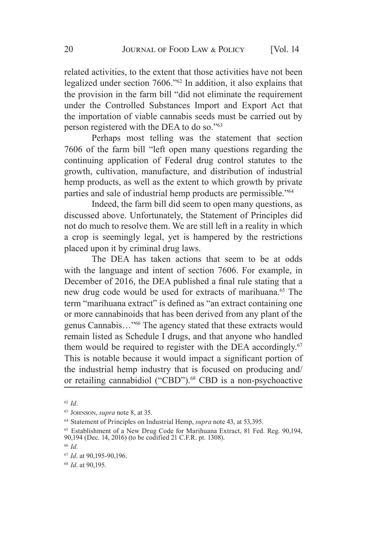related activities, to the extent that those activities have not been legalized under section 7606."62 In addition, it also explains that the provision in the farm bill "did not eliminate the requirement under the Controlled Substances Import and Export Act that the importation of viable cannabis seeds must be carried out by person registered with the DEA to do so."<sup>63</sup>

Perhaps most telling was the statement that section 7606 of the farm bill "left open many questions regarding the continuing application of Federal drug control statutes to the growth, cultivation, manufacture, and distribution of industrial hemp products, as well as the extent to which growth by private parties and sale of industrial hemp products are permissible."<sup>64</sup>

Indeed, the farm bill did seem to open many questions, as discussed above. Unfortunately, the Statement of Principles did not do much to resolve them. We are still left in a reality in which a crop is seemingly legal, yet is hampered by the restrictions placed upon it by criminal drug laws.

The DEA has taken actions that seem to be at odds with the language and intent of section 7606. For example, in December of 2016, the DEA published a final rule stating that a new drug code would be used for extracts of marihuana.<sup>65</sup> The term "marihuana extract" is defined as "an extract containing one or more cannabinoids that has been derived from any plant of the genus Cannabis…"<sup>66</sup> The agency stated that these extracts would remain listed as Schedule I drugs, and that anyone who handled them would be required to register with the DEA accordingly.<sup>67</sup> This is notable because it would impact a significant portion of the industrial hemp industry that is focused on producing and/ or retailing cannabidiol ("CBD").<sup>68</sup> CBD is a non-psychoactive

<sup>62</sup>  *Id*.

<sup>63</sup>  Johnson, *supra* note 8, at 35.

<sup>64</sup>  Statement of Principles on Industrial Hemp, *supra* note 43, at 53,395.

<sup>65</sup> Establishment of a New Drug Code for Marihuana Extract, 81 Fed. Reg. 90,194, 90,194 (Dec. 14, 2016) (to be codified 21 C.F.R. pt. 1308).

<sup>66</sup>  *Id*.

<sup>67</sup>  *Id*. at 90,195-90,196.

<sup>68</sup>  *Id*. at 90,195.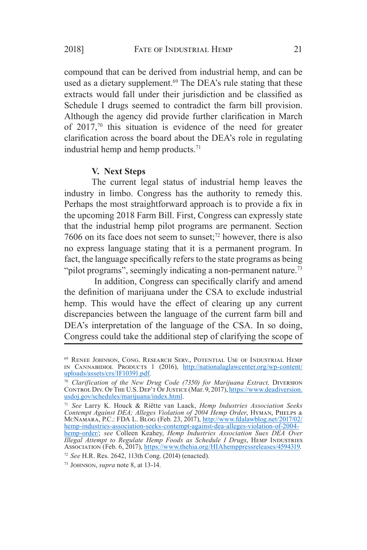compound that can be derived from industrial hemp, and can be used as a dietary supplement.<sup>69</sup> The DEA's rule stating that these extracts would fall under their jurisdiction and be classified as Schedule I drugs seemed to contradict the farm bill provision. Although the agency did provide further clarification in March of  $2017<sup>70</sup>$  this situation is evidence of the need for greater clarification across the board about the DEA's role in regulating industrial hemp and hemp products.<sup>71</sup>

### **V. Next Steps**

The current legal status of industrial hemp leaves the industry in limbo. Congress has the authority to remedy this. Perhaps the most straightforward approach is to provide a fix in the upcoming 2018 Farm Bill. First, Congress can expressly state that the industrial hemp pilot programs are permanent. Section 7606 on its face does not seem to sunset;72 however, there is also no express language stating that it is a permanent program. In fact, the language specifically refers to the state programs as being "pilot programs", seemingly indicating a non-permanent nature.<sup>73</sup>

In addition, Congress can specifically clarify and amend the definition of marijuana under the CSA to exclude industrial hemp. This would have the effect of clearing up any current discrepancies between the language of the current farm bill and DEA's interpretation of the language of the CSA. In so doing, Congress could take the additional step of clarifying the scope of

<sup>69</sup>  Renee Johnson, Cong. Research Serv., Potential Use of Industrial Hemp IN CANNABIDIOL PRODUCTS 1 (2016), http://nationalaglawcenter.org/wp-content/ uploads/assets/crs/IF10391.pdf.

<sup>70</sup>  *Clarification of the New Drug Code (7350) for Marijuana Extract,* Diversion CONTROL DIV. OF THE U.S. DEP'T OF JUSTICE (Mar. 9, 2017), https://www.deadiversion. usdoj.gov/schedules/marijuana/index.html.

<sup>71</sup>  *See* Larry K. Houck & Riëtte van Laack, *Hemp Industries Association Seeks Contempt Against DEA; Alleges Violation of 2004 Hemp Order*, Hyman, Phelps & McNамаrа, P.C.: FDA L. Blog (Feb. 23, 2017), <u>http://www.fdalawblog.net/2017/02/</u> hemp-industries-association-seeks-contempt-against-dea-alleges-violation-of-2004 hemp-order/; *see* Colleen Keahey, *Hemp Industries Association Sues DEA Over Illegal Attempt to Regulate Hemp Foods as Schedule I Drugs*, HEMP INDUSTRIES Association (Feb. 6, 2017), https://www.thehia.org/HIAhemppressreleases/4594319.

<sup>72</sup>  *See* H.R. Res. 2642, 113th Cong. (2014) (enacted).

<sup>73</sup>  Johnson, *supra* note 8, at 13-14.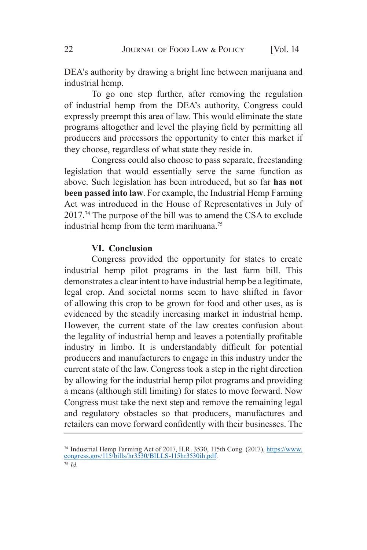DEA's authority by drawing a bright line between marijuana and industrial hemp.

To go one step further, after removing the regulation of industrial hemp from the DEA's authority, Congress could expressly preempt this area of law. This would eliminate the state programs altogether and level the playing field by permitting all producers and processors the opportunity to enter this market if they choose, regardless of what state they reside in.

Congress could also choose to pass separate, freestanding legislation that would essentially serve the same function as above. Such legislation has been introduced, but so far **has not been passed into law**. For example, the Industrial Hemp Farming Act was introduced in the House of Representatives in July of 2017.74 The purpose of the bill was to amend the CSA to exclude industrial hemp from the term marihuana.<sup>75</sup>

#### **VI. Conclusion**

Congress provided the opportunity for states to create industrial hemp pilot programs in the last farm bill. This demonstrates a clear intent to have industrial hemp be a legitimate, legal crop. And societal norms seem to have shifted in favor of allowing this crop to be grown for food and other uses, as is evidenced by the steadily increasing market in industrial hemp. However, the current state of the law creates confusion about the legality of industrial hemp and leaves a potentially profitable industry in limbo. It is understandably difficult for potential producers and manufacturers to engage in this industry under the current state of the law. Congress took a step in the right direction by allowing for the industrial hemp pilot programs and providing a means (although still limiting) for states to move forward. Now Congress must take the next step and remove the remaining legal and regulatory obstacles so that producers, manufactures and retailers can move forward confidently with their businesses. The

<sup>&</sup>lt;sup>74</sup> Industrial Hemp Farming Act of 2017, H.R. 3530, 115th Cong. (2017), *https://www.* congress.gov/115/bills/hr3530/BILLS-115hr3530ih.pdf.